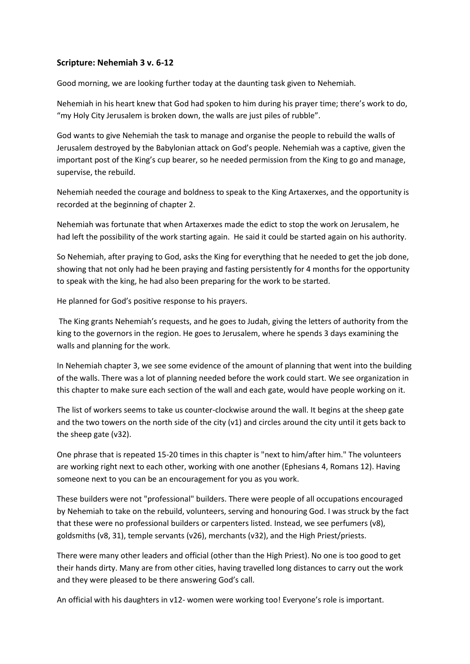## **Scripture: Nehemiah 3 v. 6-12**

Good morning, we are looking further today at the daunting task given to Nehemiah.

Nehemiah in his heart knew that God had spoken to him during his prayer time; there's work to do, "my Holy City Jerusalem is broken down, the walls are just piles of rubble".

God wants to give Nehemiah the task to manage and organise the people to rebuild the walls of Jerusalem destroyed by the Babylonian attack on God's people. Nehemiah was a captive, given the important post of the King's cup bearer, so he needed permission from the King to go and manage, supervise, the rebuild.

Nehemiah needed the courage and boldness to speak to the King Artaxerxes, and the opportunity is recorded at the beginning of chapter 2.

Nehemiah was fortunate that when Artaxerxes made the edict to stop the work on Jerusalem, he had left the possibility of the work starting again. He said it could be started again on his authority.

So Nehemiah, after praying to God, asks the King for everything that he needed to get the job done, showing that not only had he been praying and fasting persistently for 4 months for the opportunity to speak with the king, he had also been preparing for the work to be started.

He planned for God's positive response to his prayers.

The King grants Nehemiah's requests, and he goes to Judah, giving the letters of authority from the king to the governors in the region. He goes to Jerusalem, where he spends 3 days examining the walls and planning for the work.

In Nehemiah chapter 3, we see some evidence of the amount of planning that went into the building of the walls. There was a lot of planning needed before the work could start. We see organization in this chapter to make sure each section of the wall and each gate, would have people working on it.

The list of workers seems to take us counter-clockwise around the wall. It begins at the sheep gate and the two towers on the north side of the city (v1) and circles around the city until it gets back to the sheep gate (v32).

One phrase that is repeated 15-20 times in this chapter is "next to him/after him." The volunteers are working right next to each other, working with one another (Ephesians 4, Romans 12). Having someone next to you can be an encouragement for you as you work.

These builders were not "professional" builders. There were people of all occupations encouraged by Nehemiah to take on the rebuild, volunteers, serving and honouring God. I was struck by the fact that these were no professional builders or carpenters listed. Instead, we see perfumers (v8), goldsmiths (v8, 31), temple servants (v26), merchants (v32), and the High Priest/priests.

There were many other leaders and official (other than the High Priest). No one is too good to get their hands dirty. Many are from other cities, having travelled long distances to carry out the work and they were pleased to be there answering God's call.

An official with his daughters in v12- women were working too! Everyone's role is important.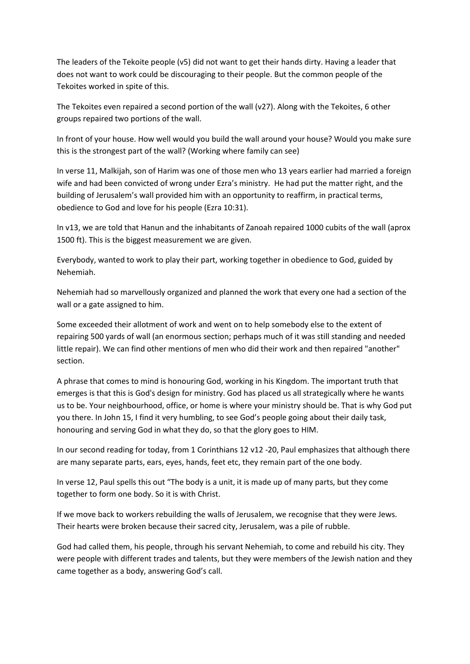The leaders of the Tekoite people (v5) did not want to get their hands dirty. Having a leader that does not want to work could be discouraging to their people. But the common people of the Tekoites worked in spite of this.

The Tekoites even repaired a second portion of the wall (v27). Along with the Tekoites, 6 other groups repaired two portions of the wall.

In front of your house. How well would you build the wall around your house? Would you make sure this is the strongest part of the wall? (Working where family can see)

In verse 11, Malkijah, son of Harim was one of those men who 13 years earlier had married a foreign wife and had been convicted of wrong under Ezra's ministry. He had put the matter right, and the building of Jerusalem's wall provided him with an opportunity to reaffirm, in practical terms, obedience to God and love for his people (Ezra 10:31).

In v13, we are told that Hanun and the inhabitants of Zanoah repaired 1000 cubits of the wall (aprox 1500 ft). This is the biggest measurement we are given.

Everybody, wanted to work to play their part, working together in obedience to God, guided by Nehemiah.

Nehemiah had so marvellously organized and planned the work that every one had a section of the wall or a gate assigned to him.

Some exceeded their allotment of work and went on to help somebody else to the extent of repairing 500 yards of wall (an enormous section; perhaps much of it was still standing and needed little repair). We can find other mentions of men who did their work and then repaired "another" section.

A phrase that comes to mind is honouring God, working in his Kingdom. The important truth that emerges is that this is God's design for ministry. God has placed us all strategically where he wants us to be. Your neighbourhood, office, or home is where your ministry should be. That is why God put you there. In John 15, I find it very humbling, to see God's people going about their daily task, honouring and serving God in what they do, so that the glory goes to HIM.

In our second reading for today, from 1 Corinthians 12 v12 -20, Paul emphasizes that although there are many separate parts, ears, eyes, hands, feet etc, they remain part of the one body.

In verse 12, Paul spells this out "The body is a unit, it is made up of many parts, but they come together to form one body. So it is with Christ.

If we move back to workers rebuilding the walls of Jerusalem, we recognise that they were Jews. Their hearts were broken because their sacred city, Jerusalem, was a pile of rubble.

God had called them, his people, through his servant Nehemiah, to come and rebuild his city. They were people with different trades and talents, but they were members of the Jewish nation and they came together as a body, answering God's call.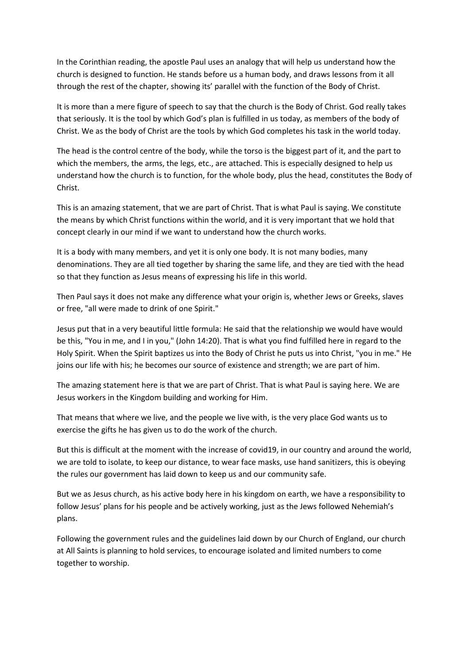In the Corinthian reading, the apostle Paul uses an analogy that will help us understand how the church is designed to function. He stands before us a human body, and draws lessons from it all through the rest of the chapter, showing its' parallel with the function of the Body of Christ.

It is more than a mere figure of speech to say that the church is the Body of Christ. God really takes that seriously. It is the tool by which God's plan is fulfilled in us today, as members of the body of Christ. We as the body of Christ are the tools by which God completes his task in the world today.

The head is the control centre of the body, while the torso is the biggest part of it, and the part to which the members, the arms, the legs, etc., are attached. This is especially designed to help us understand how the church is to function, for the whole body, plus the head, constitutes the Body of Christ.

This is an amazing statement, that we are part of Christ. That is what Paul is saying. We constitute the means by which Christ functions within the world, and it is very important that we hold that concept clearly in our mind if we want to understand how the church works.

It is a body with many members, and yet it is only one body. It is not many bodies, many denominations. They are all tied together by sharing the same life, and they are tied with the head so that they function as Jesus means of expressing his life in this world.

Then Paul says it does not make any difference what your origin is, whether Jews or Greeks, slaves or free, "all were made to drink of one Spirit."

Jesus put that in a very beautiful little formula: He said that the relationship we would have would be this, "You in me, and I in you," (John 14:20). That is what you find fulfilled here in regard to the Holy Spirit. When the Spirit baptizes us into the Body of Christ he puts us into Christ, "you in me." He joins our life with his; he becomes our source of existence and strength; we are part of him.

The amazing statement here is that we are part of Christ. That is what Paul is saying here. We are Jesus workers in the Kingdom building and working for Him.

That means that where we live, and the people we live with, is the very place God wants us to exercise the gifts he has given us to do the work of the church.

But this is difficult at the moment with the increase of covid19, in our country and around the world, we are told to isolate, to keep our distance, to wear face masks, use hand sanitizers, this is obeying the rules our government has laid down to keep us and our community safe.

But we as Jesus church, as his active body here in his kingdom on earth, we have a responsibility to follow Jesus' plans for his people and be actively working, just as the Jews followed Nehemiah's plans.

Following the government rules and the guidelines laid down by our Church of England, our church at All Saints is planning to hold services, to encourage isolated and limited numbers to come together to worship.